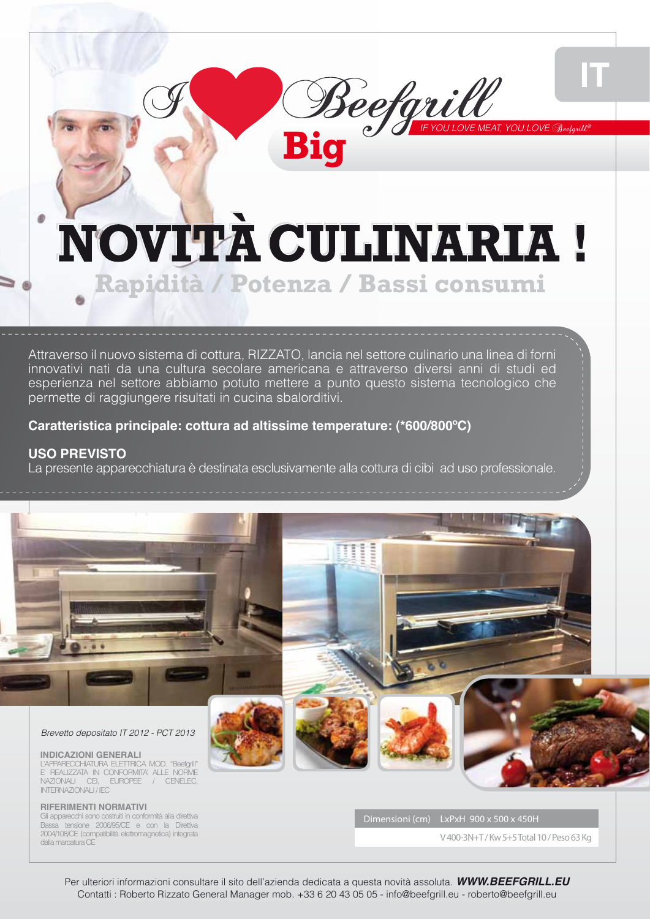# NOVITÀ CULINARIA! **Rapidità / Potenza / Bassi consumi**

**Beefgrill** 

*IF YOU LOVE MEAT, YOU LOVE* Beefgrill*®*

π

Attraverso il nuovo sistema di cottura, RIZZATO, lancia nel settore culinario una linea di forni innovativi nati da una cultura secolare americana e attraverso diversi anni di studi ed esperienza nel settore abbiamo potuto mettere a punto questo sistema tecnologico che permette di raggiungere risultati in cucina sbalorditivi.

### **Caratteristica principale: cottura ad altissime temperature: (\*600/800ºC)**

### **USO PREVISTO**

La presente apparecchiatura è destinata esclusivamente alla cottura di cibi ad uso professionale.



Per ulteriori informazioni consultare il sito dell'azienda dedicata a questa novità assoluta. *WWW.BEEFGRILL.EU* Contatti : Roberto Rizzato General Manager mob. +33 6 20 43 05 05 - info@beefgrill.eu - roberto@beefgrill.eu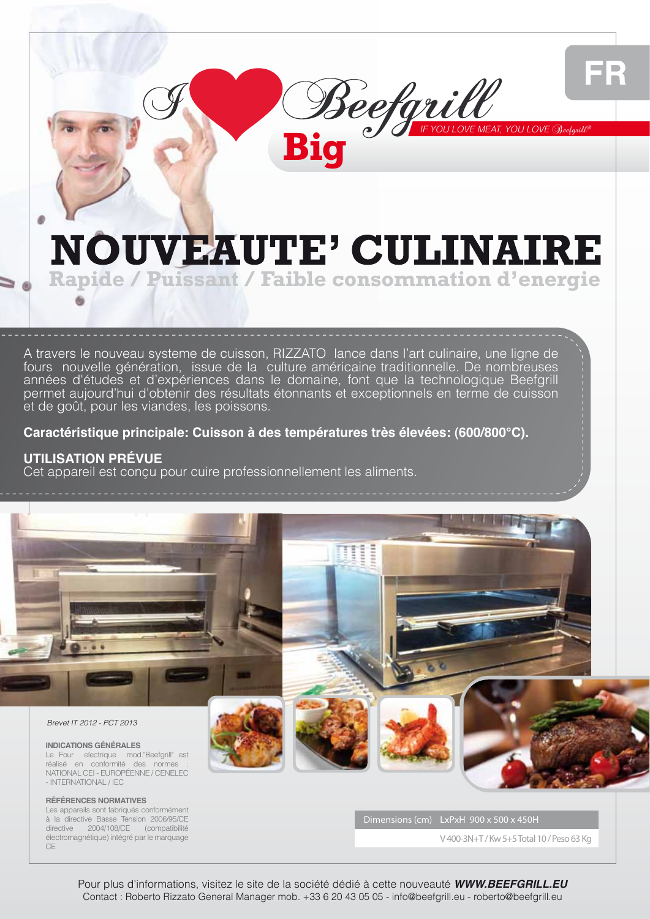

### **NOUVEAUTE' CULINAIRE Rapide / Puissant / Faible consommation d'energie**

**Big**<sup>e</sup> *B* **Big** 

A travers le nouveau systeme de cuisson, RIZZATO lance dans l'art culinaire, une ligne de fours nouvelle génération, issue de la culture américaine traditionnelle. De nombreuses années d'études et d'expériences dans le domaine, font que la technologique Beefgrill permet aujourd'hui d'obtenir des résultats étonnants et exceptionnels en terme de cuisson et de goût, pour les viandes, les poissons.

### **Caractéristique principale: Cuisson à des températures très élevées: (600/800°C).**

#### **UTILISATION PRÉVUE**

Cet appareil est conçu pour cuire professionnellement les aliments.



**RÉFÉRENCES NORMATIVES** Les appareils sont fabriqués conformément à la directive Basse Tension 2006/95/CE directive 2004/108/CE (compatibilité électromagnétique) intégré par le marquage CE

Dimensions (cm) LxPxH 900 x 500 x 450H

V 400-3N+T / Kw 5+5 Total 10 / Peso 63 Kg

Pour plus d'informations, visitez le site de la société dédié à cette nouveauté *WWW.BEEFGRILL.EU* Contact : Roberto Rizzato General Manager mob. +33 6 20 43 05 05 - info@beefgrill.eu - roberto@beefgrill.eu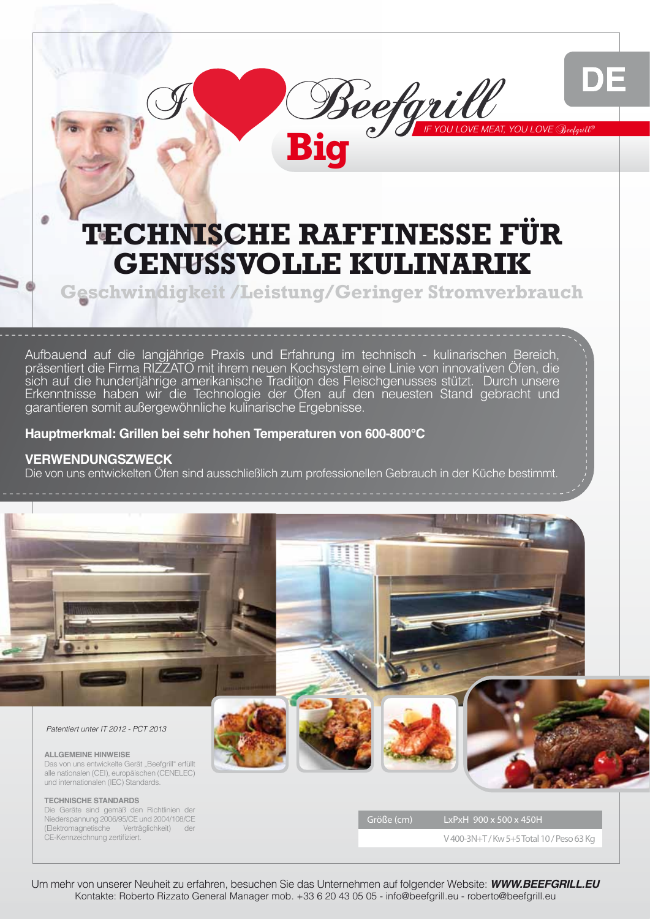# DE

### **TECHNISCHE RAFFINESSE FÜR GENUSSVOLLE KULINARIK**

**Big**<sup>e</sup> *B* **Big** 

**Geschwindigkeit /Leistung/Geringer Stromverbrauch**

Aufbauend auf die langjährige Praxis und Erfahrung im technisch - kulinarischen Bereich, präsentiert die Firma RIZZATO mit ihrem neuen Kochsystem eine Linie von innovativen Öfen, die sich auf die hundertjährige amerikanische Tradition des Fleischgenusses stützt. Durch unsere Erkenntnisse haben wir die Technologie der Öfen auf den neuesten Stand gebracht und garantieren somit außergewöhnliche kulinarische Ergebnisse.

### **Hauptmerkmal: Grillen bei sehr hohen Temperaturen von 600-800°C**

### **VERWENDUNGSZWECK**

Die von uns entwickelten Öfen sind ausschließlich zum professionellen Gebrauch in der Küche bestimmt.



Um mehr von unserer Neuheit zu erfahren, besuchen Sie das Unternehmen auf folgender Website: *WWW.BEEFGRILL.EU* Kontakte: Roberto Rizzato General Manager mob. +33 6 20 43 05 05 - info@beefgrill.eu - roberto@beefgrill.eu